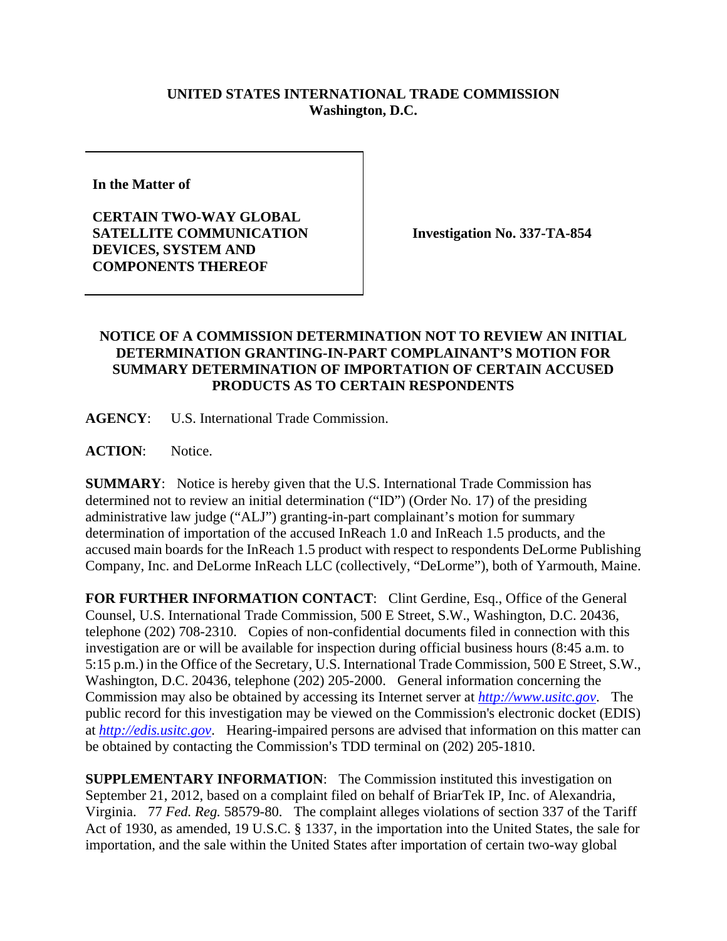## **UNITED STATES INTERNATIONAL TRADE COMMISSION Washington, D.C.**

**In the Matter of** 

**CERTAIN TWO-WAY GLOBAL SATELLITE COMMUNICATION DEVICES, SYSTEM AND COMPONENTS THEREOF** 

**Investigation No. 337-TA-854** 

## **NOTICE OF A COMMISSION DETERMINATION NOT TO REVIEW AN INITIAL DETERMINATION GRANTING-IN-PART COMPLAINANT'S MOTION FOR SUMMARY DETERMINATION OF IMPORTATION OF CERTAIN ACCUSED PRODUCTS AS TO CERTAIN RESPONDENTS**

**AGENCY**: U.S. International Trade Commission.

ACTION: Notice.

**SUMMARY**: Notice is hereby given that the U.S. International Trade Commission has determined not to review an initial determination ("ID") (Order No. 17) of the presiding administrative law judge ("ALJ") granting-in-part complainant's motion for summary determination of importation of the accused InReach 1.0 and InReach 1.5 products, and the accused main boards for the InReach 1.5 product with respect to respondents DeLorme Publishing Company, Inc. and DeLorme InReach LLC (collectively, "DeLorme"), both of Yarmouth, Maine.

FOR FURTHER INFORMATION CONTACT: Clint Gerdine, Esq., Office of the General Counsel, U.S. International Trade Commission, 500 E Street, S.W., Washington, D.C. 20436, telephone (202) 708-2310. Copies of non-confidential documents filed in connection with this investigation are or will be available for inspection during official business hours (8:45 a.m. to 5:15 p.m.) in the Office of the Secretary, U.S. International Trade Commission, 500 E Street, S.W., Washington, D.C. 20436, telephone (202) 205-2000. General information concerning the Commission may also be obtained by accessing its Internet server at *http://www.usitc.gov*. The public record for this investigation may be viewed on the Commission's electronic docket (EDIS) at *http://edis.usitc.gov*. Hearing-impaired persons are advised that information on this matter can be obtained by contacting the Commission's TDD terminal on  $(202)$  205-1810.

**SUPPLEMENTARY INFORMATION:** The Commission instituted this investigation on September 21, 2012, based on a complaint filed on behalf of BriarTek IP, Inc. of Alexandria, Virginia. 77 *Fed. Reg.* 58579-80. The complaint alleges violations of section 337 of the Tariff Act of 1930, as amended, 19 U.S.C. § 1337, in the importation into the United States, the sale for importation, and the sale within the United States after importation of certain two-way global